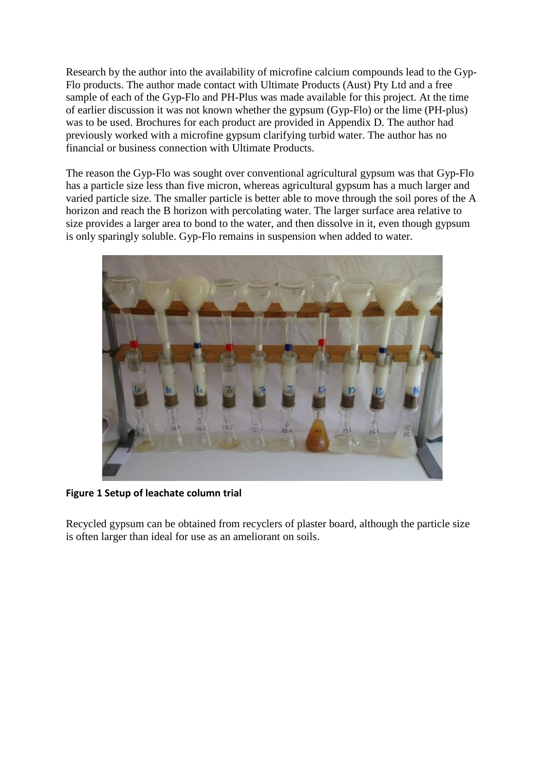Research by the author into the availability of microfine calcium compounds lead to the Gyp-Flo products. The author made contact with Ultimate Products (Aust) Pty Ltd and a free sample of each of the Gyp-Flo and PH-Plus was made available for this project. At the time of earlier discussion it was not known whether the gypsum (Gyp-Flo) or the lime (PH-plus) was to be used. Brochures for each product are provided in Appendix D. The author had previously worked with a microfine gypsum clarifying turbid water. The author has no financial or business connection with Ultimate Products.

The reason the Gyp-Flo was sought over conventional agricultural gypsum was that Gyp-Flo has a particle size less than five micron, whereas agricultural gypsum has a much larger and varied particle size. The smaller particle is better able to move through the soil pores of the A horizon and reach the B horizon with percolating water. The larger surface area relative to size provides a larger area to bond to the water, and then dissolve in it, even though gypsum is only sparingly soluble. Gyp-Flo remains in suspension when added to water.



**Figure 1 Setup of leachate column trial**

Recycled gypsum can be obtained from recyclers of plaster board, although the particle size is often larger than ideal for use as an ameliorant on soils.